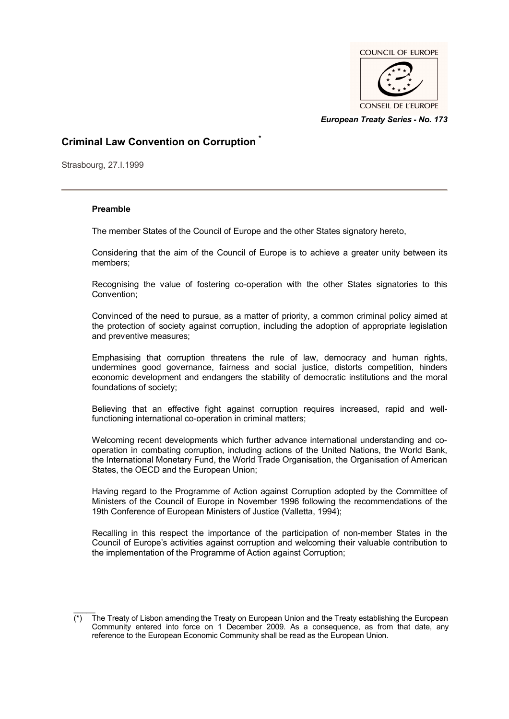

*European Treaty Series* **-** *No. 173*

# **Criminal Law Convention on Corruption \***

Strasbourg, 27.I.1999

# **Preamble**

The member States of the Council of Europe and the other States signatory hereto,

Considering that the aim of the Council of Europe is to achieve a greater unity between its members;

Recognising the value of fostering co-operation with the other States signatories to this Convention;

Convinced of the need to pursue, as a matter of priority, a common criminal policy aimed at the protection of society against corruption, including the adoption of appropriate legislation and preventive measures;

Emphasising that corruption threatens the rule of law, democracy and human rights, undermines good governance, fairness and social justice, distorts competition, hinders economic development and endangers the stability of democratic institutions and the moral foundations of society;

Believing that an effective fight against corruption requires increased, rapid and wellfunctioning international co-operation in criminal matters;

Welcoming recent developments which further advance international understanding and cooperation in combating corruption, including actions of the United Nations, the World Bank, the International Monetary Fund, the World Trade Organisation, the Organisation of American States, the OECD and the European Union;

Having regard to the Programme of Action against Corruption adopted by the Committee of Ministers of the Council of Europe in November 1996 following the recommendations of the 19th Conference of European Ministers of Justice (Valletta, 1994);

Recalling in this respect the importance of the participation of non-member States in the Council of Europe's activities against corruption and welcoming their valuable contribution to the implementation of the Programme of Action against Corruption;

 $\mathcal{L}$ (\*) The Treaty of Lisbon amending the Treaty on European Union and the Treaty establishing the European Community entered into force on 1 December 2009. As a consequence, as from that date, any reference to the European Economic Community shall be read as the European Union.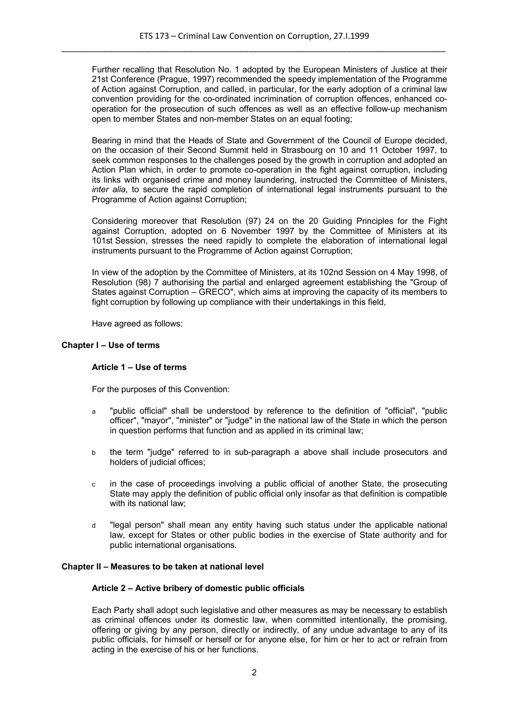Further recalling that Resolution No. 1 adopted by the European Ministers of Justice at their 21st Conference (Prague, 1997) recommended the speedy implementation of the Programme of Action against Corruption, and called, in particular, for the early adoption of a criminal law convention providing for the co-ordinated incrimination of corruption offences, enhanced cooperation for the prosecution of such offences as well as an effective follow-up mechanism open to member States and non-member States on an equal footing;

Bearing in mind that the Heads of State and Government of the Council of Europe decided, on the occasion of their Second Summit held in Strasbourg on 10 and 11 October 1997, to seek common responses to the challenges posed by the growth in corruption and adopted an Action Plan which, in order to promote co-operation in the fight against corruption, including its links with organised crime and money laundering, instructed the Committee of Ministers, *inter alia*, to secure the rapid completion of international legal instruments pursuant to the Programme of Action against Corruption;

Considering moreover that Resolution (97) 24 on the 20 Guiding Principles for the Fight against Corruption, adopted on 6 November 1997 by the Committee of Ministers at its 101st Session, stresses the need rapidly to complete the elaboration of international legal instruments pursuant to the Programme of Action against Corruption;

In view of the adoption by the Committee of Ministers, at its 102nd Session on 4 May 1998, of Resolution (98) 7 authorising the partial and enlarged agreement establishing the "Group of States against Corruption – GRECO", which aims at improving the capacity of its members to fight corruption by following up compliance with their undertakings in this field,

Have agreed as follows:

#### **Chapter I – Use of terms**

# **Article 1 – Use of terms**

For the purposes of this Convention:

- a "public official" shall be understood by reference to the definition of "official", "public officer", "mayor", "minister" or "judge" in the national law of the State in which the person in question performs that function and as applied in its criminal law;
- b the term "judge" referred to in sub-paragraph a above shall include prosecutors and holders of judicial offices;
- c in the case of proceedings involving a public official of another State, the prosecuting State may apply the definition of public official only insofar as that definition is compatible with its national law:
- d "legal person" shall mean any entity having such status under the applicable national law, except for States or other public bodies in the exercise of State authority and for public international organisations.

# **Chapter II – Measures to be taken at national level**

# **Article 2 – Active bribery of domestic public officials**

Each Party shall adopt such legislative and other measures as may be necessary to establish as criminal offences under its domestic law, when committed intentionally, the promising, offering or giving by any person, directly or indirectly, of any undue advantage to any of its public officials, for himself or herself or for anyone else, for him or her to act or refrain from acting in the exercise of his or her functions.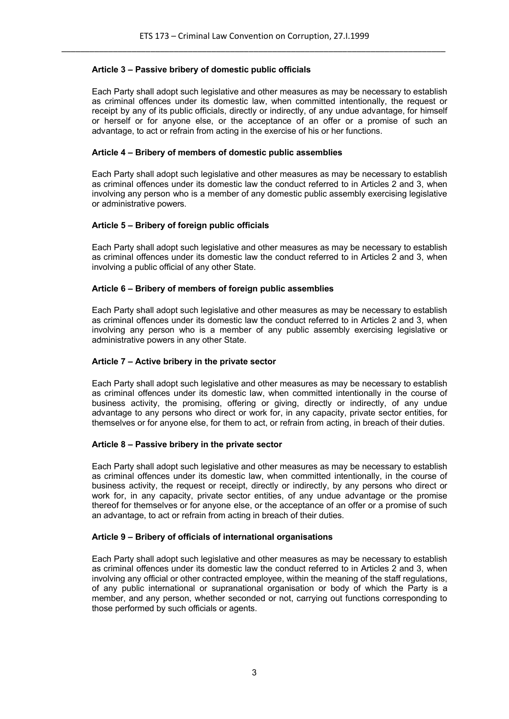# **Article 3 – Passive bribery of domestic public officials**

Each Party shall adopt such legislative and other measures as may be necessary to establish as criminal offences under its domestic law, when committed intentionally, the request or receipt by any of its public officials, directly or indirectly, of any undue advantage, for himself or herself or for anyone else, or the acceptance of an offer or a promise of such an advantage, to act or refrain from acting in the exercise of his or her functions.

#### **Article 4 – Bribery of members of domestic public assemblies**

Each Party shall adopt such legislative and other measures as may be necessary to establish as criminal offences under its domestic law the conduct referred to in Articles 2 and 3, when involving any person who is a member of any domestic public assembly exercising legislative or administrative powers.

#### **Article 5 – Bribery of foreign public officials**

Each Party shall adopt such legislative and other measures as may be necessary to establish as criminal offences under its domestic law the conduct referred to in Articles 2 and 3, when involving a public official of any other State.

#### **Article 6 – Bribery of members of foreign public assemblies**

Each Party shall adopt such legislative and other measures as may be necessary to establish as criminal offences under its domestic law the conduct referred to in Articles 2 and 3, when involving any person who is a member of any public assembly exercising legislative or administrative powers in any other State.

#### **Article 7 – Active bribery in the private sector**

Each Party shall adopt such legislative and other measures as may be necessary to establish as criminal offences under its domestic law, when committed intentionally in the course of business activity, the promising, offering or giving, directly or indirectly, of any undue advantage to any persons who direct or work for, in any capacity, private sector entities, for themselves or for anyone else, for them to act, or refrain from acting, in breach of their duties.

# **Article 8 – Passive bribery in the private sector**

Each Party shall adopt such legislative and other measures as may be necessary to establish as criminal offences under its domestic law, when committed intentionally, in the course of business activity, the request or receipt, directly or indirectly, by any persons who direct or work for, in any capacity, private sector entities, of any undue advantage or the promise thereof for themselves or for anyone else, or the acceptance of an offer or a promise of such an advantage, to act or refrain from acting in breach of their duties.

#### **Article 9 – Bribery of officials of international organisations**

Each Party shall adopt such legislative and other measures as may be necessary to establish as criminal offences under its domestic law the conduct referred to in Articles 2 and 3, when involving any official or other contracted employee, within the meaning of the staff regulations, of any public international or supranational organisation or body of which the Party is a member, and any person, whether seconded or not, carrying out functions corresponding to those performed by such officials or agents.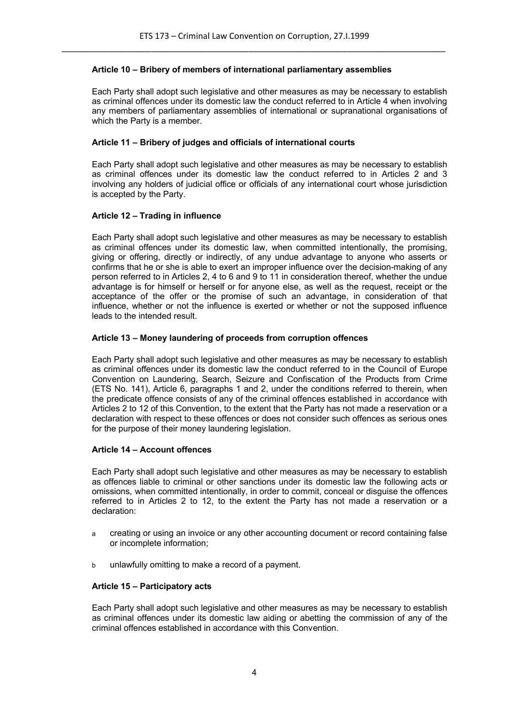#### **Article 10 – Bribery of members of international parliamentary assemblies**

Each Party shall adopt such legislative and other measures as may be necessary to establish as criminal offences under its domestic law the conduct referred to in Article 4 when involving any members of parliamentary assemblies of international or supranational organisations of which the Party is a member.

#### **Article 11 – Bribery of judges and officials of international courts**

Each Party shall adopt such legislative and other measures as may be necessary to establish as criminal offences under its domestic law the conduct referred to in Articles 2 and 3 involving any holders of judicial office or officials of any international court whose jurisdiction is accepted by the Party.

#### **Article 12 – Trading in influence**

Each Party shall adopt such legislative and other measures as may be necessary to establish as criminal offences under its domestic law, when committed intentionally, the promising, giving or offering, directly or indirectly, of any undue advantage to anyone who asserts or confirms that he or she is able to exert an improper influence over the decision-making of any person referred to in Articles 2, 4 to 6 and 9 to 11 in consideration thereof, whether the undue advantage is for himself or herself or for anyone else, as well as the request, receipt or the acceptance of the offer or the promise of such an advantage, in consideration of that influence, whether or not the influence is exerted or whether or not the supposed influence leads to the intended result.

#### **Article 13 – Money laundering of proceeds from corruption offences**

Each Party shall adopt such legislative and other measures as may be necessary to establish as criminal offences under its domestic law the conduct referred to in the Council of Europe Convention on Laundering, Search, Seizure and Confiscation of the Products from Crime (ETS No. 141), Article 6, paragraphs 1 and 2, under the conditions referred to therein, when the predicate offence consists of any of the criminal offences established in accordance with Articles 2 to 12 of this Convention, to the extent that the Party has not made a reservation or a declaration with respect to these offences or does not consider such offences as serious ones for the purpose of their money laundering legislation.

#### **Article 14 – Account offences**

Each Party shall adopt such legislative and other measures as may be necessary to establish as offences liable to criminal or other sanctions under its domestic law the following acts or omissions, when committed intentionally, in order to commit, conceal or disguise the offences referred to in Articles 2 to 12, to the extent the Party has not made a reservation or a declaration:

- a creating or using an invoice or any other accounting document or record containing false or incomplete information;
- b unlawfully omitting to make a record of a payment.

# **Article 15 – Participatory acts**

Each Party shall adopt such legislative and other measures as may be necessary to establish as criminal offences under its domestic law aiding or abetting the commission of any of the criminal offences established in accordance with this Convention.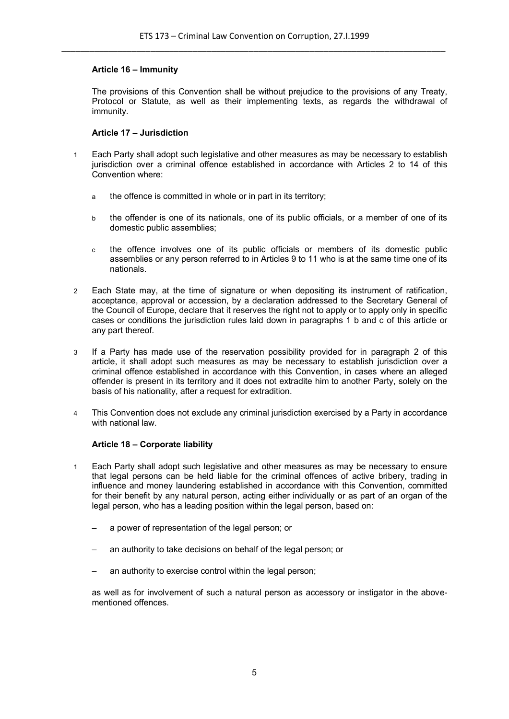# **Article 16 – Immunity**

The provisions of this Convention shall be without prejudice to the provisions of any Treaty, Protocol or Statute, as well as their implementing texts, as regards the withdrawal of immunity.

# **Article 17 – Jurisdiction**

- 1 Each Party shall adopt such legislative and other measures as may be necessary to establish jurisdiction over a criminal offence established in accordance with Articles 2 to 14 of this Convention where:
	- a the offence is committed in whole or in part in its territory;
	- b the offender is one of its nationals, one of its public officials, or a member of one of its domestic public assemblies;
	- c the offence involves one of its public officials or members of its domestic public assemblies or any person referred to in Articles 9 to 11 who is at the same time one of its nationals.
- 2 Each State may, at the time of signature or when depositing its instrument of ratification, acceptance, approval or accession, by a declaration addressed to the Secretary General of the Council of Europe, declare that it reserves the right not to apply or to apply only in specific cases or conditions the jurisdiction rules laid down in paragraphs 1 b and c of this article or any part thereof.
- 3 If a Party has made use of the reservation possibility provided for in paragraph 2 of this article, it shall adopt such measures as may be necessary to establish jurisdiction over a criminal offence established in accordance with this Convention, in cases where an alleged offender is present in its territory and it does not extradite him to another Party, solely on the basis of his nationality, after a request for extradition.
- 4 This Convention does not exclude any criminal jurisdiction exercised by a Party in accordance with national law

#### **Article 18 – Corporate liability**

- 1 Each Party shall adopt such legislative and other measures as may be necessary to ensure that legal persons can be held liable for the criminal offences of active bribery, trading in influence and money laundering established in accordance with this Convention, committed for their benefit by any natural person, acting either individually or as part of an organ of the legal person, who has a leading position within the legal person, based on:
	- a power of representation of the legal person; or
	- an authority to take decisions on behalf of the legal person; or
	- an authority to exercise control within the legal person;

as well as for involvement of such a natural person as accessory or instigator in the abovementioned offences.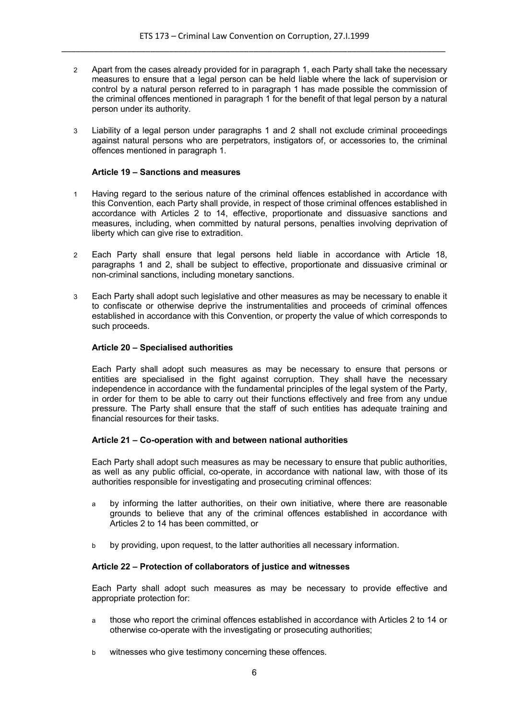- 2 Apart from the cases already provided for in paragraph 1, each Party shall take the necessary measures to ensure that a legal person can be held liable where the lack of supervision or control by a natural person referred to in paragraph 1 has made possible the commission of the criminal offences mentioned in paragraph 1 for the benefit of that legal person by a natural person under its authority.
- 3 Liability of a legal person under paragraphs 1 and 2 shall not exclude criminal proceedings against natural persons who are perpetrators, instigators of, or accessories to, the criminal offences mentioned in paragraph 1.

#### **Article 19 – Sanctions and measures**

- 1 Having regard to the serious nature of the criminal offences established in accordance with this Convention, each Party shall provide, in respect of those criminal offences established in accordance with Articles 2 to 14, effective, proportionate and dissuasive sanctions and measures, including, when committed by natural persons, penalties involving deprivation of liberty which can give rise to extradition.
- 2 Each Party shall ensure that legal persons held liable in accordance with Article 18, paragraphs 1 and 2, shall be subject to effective, proportionate and dissuasive criminal or non-criminal sanctions, including monetary sanctions.
- 3 Each Party shall adopt such legislative and other measures as may be necessary to enable it to confiscate or otherwise deprive the instrumentalities and proceeds of criminal offences established in accordance with this Convention, or property the value of which corresponds to such proceeds.

#### **Article 20 – Specialised authorities**

Each Party shall adopt such measures as may be necessary to ensure that persons or entities are specialised in the fight against corruption. They shall have the necessary independence in accordance with the fundamental principles of the legal system of the Party, in order for them to be able to carry out their functions effectively and free from any undue pressure. The Party shall ensure that the staff of such entities has adequate training and financial resources for their tasks.

#### **Article 21 – Co-operation with and between national authorities**

Each Party shall adopt such measures as may be necessary to ensure that public authorities, as well as any public official, co-operate, in accordance with national law, with those of its authorities responsible for investigating and prosecuting criminal offences:

- a by informing the latter authorities, on their own initiative, where there are reasonable grounds to believe that any of the criminal offences established in accordance with Articles 2 to 14 has been committed, or
- b by providing, upon request, to the latter authorities all necessary information.

### **Article 22 – Protection of collaborators of justice and witnesses**

Each Party shall adopt such measures as may be necessary to provide effective and appropriate protection for:

- a those who report the criminal offences established in accordance with Articles 2 to 14 or otherwise co-operate with the investigating or prosecuting authorities;
- b witnesses who give testimony concerning these offences.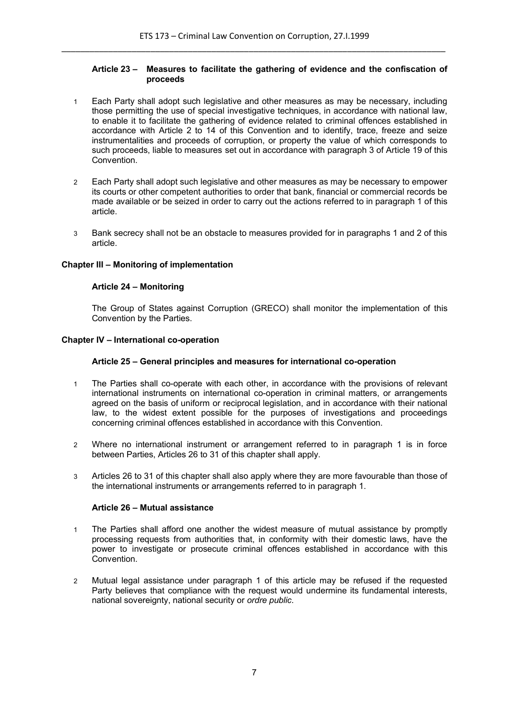### **Article 23 – Measures to facilitate the gathering of evidence and the confiscation of proceeds**

- 1 Each Party shall adopt such legislative and other measures as may be necessary, including those permitting the use of special investigative techniques, in accordance with national law, to enable it to facilitate the gathering of evidence related to criminal offences established in accordance with Article 2 to 14 of this Convention and to identify, trace, freeze and seize instrumentalities and proceeds of corruption, or property the value of which corresponds to such proceeds, liable to measures set out in accordance with paragraph 3 of Article 19 of this Convention.
- 2 Each Party shall adopt such legislative and other measures as may be necessary to empower its courts or other competent authorities to order that bank, financial or commercial records be made available or be seized in order to carry out the actions referred to in paragraph 1 of this article.
- 3 Bank secrecy shall not be an obstacle to measures provided for in paragraphs 1 and 2 of this article.

# **Chapter III – Monitoring of implementation**

# **Article 24 – Monitoring**

The Group of States against Corruption (GRECO) shall monitor the implementation of this Convention by the Parties.

# **Chapter IV – International co-operation**

### **Article 25 – General principles and measures for international co-operation**

- 1 The Parties shall co-operate with each other, in accordance with the provisions of relevant international instruments on international co-operation in criminal matters, or arrangements agreed on the basis of uniform or reciprocal legislation, and in accordance with their national law, to the widest extent possible for the purposes of investigations and proceedings concerning criminal offences established in accordance with this Convention.
- 2 Where no international instrument or arrangement referred to in paragraph 1 is in force between Parties, Articles 26 to 31 of this chapter shall apply.
- 3 Articles 26 to 31 of this chapter shall also apply where they are more favourable than those of the international instruments or arrangements referred to in paragraph 1.

#### **Article 26 – Mutual assistance**

- 1 The Parties shall afford one another the widest measure of mutual assistance by promptly processing requests from authorities that, in conformity with their domestic laws, have the power to investigate or prosecute criminal offences established in accordance with this Convention.
- 2 Mutual legal assistance under paragraph 1 of this article may be refused if the requested Party believes that compliance with the request would undermine its fundamental interests, national sovereignty, national security or *ordre public*.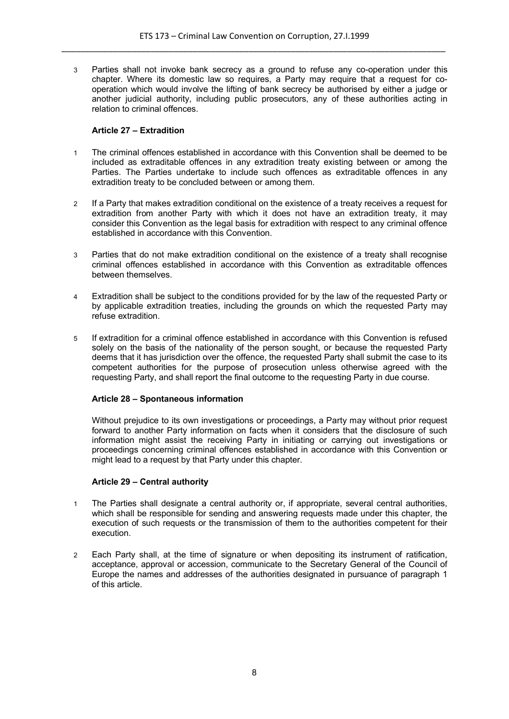3 Parties shall not invoke bank secrecy as a ground to refuse any co-operation under this chapter. Where its domestic law so requires, a Party may require that a request for cooperation which would involve the lifting of bank secrecy be authorised by either a judge or another judicial authority, including public prosecutors, any of these authorities acting in relation to criminal offences.

# **Article 27 – Extradition**

- 1 The criminal offences established in accordance with this Convention shall be deemed to be included as extraditable offences in any extradition treaty existing between or among the Parties. The Parties undertake to include such offences as extraditable offences in any extradition treaty to be concluded between or among them.
- 2 If a Party that makes extradition conditional on the existence of a treaty receives a request for extradition from another Party with which it does not have an extradition treaty, it may consider this Convention as the legal basis for extradition with respect to any criminal offence established in accordance with this Convention.
- 3 Parties that do not make extradition conditional on the existence of a treaty shall recognise criminal offences established in accordance with this Convention as extraditable offences between themselves.
- 4 Extradition shall be subject to the conditions provided for by the law of the requested Party or by applicable extradition treaties, including the grounds on which the requested Party may refuse extradition.
- 5 If extradition for a criminal offence established in accordance with this Convention is refused solely on the basis of the nationality of the person sought, or because the requested Party deems that it has jurisdiction over the offence, the requested Party shall submit the case to its competent authorities for the purpose of prosecution unless otherwise agreed with the requesting Party, and shall report the final outcome to the requesting Party in due course.

# **Article 28 – Spontaneous information**

Without prejudice to its own investigations or proceedings, a Party may without prior request forward to another Party information on facts when it considers that the disclosure of such information might assist the receiving Party in initiating or carrying out investigations or proceedings concerning criminal offences established in accordance with this Convention or might lead to a request by that Party under this chapter.

# **Article 29 – Central authority**

- 1 The Parties shall designate a central authority or, if appropriate, several central authorities, which shall be responsible for sending and answering requests made under this chapter, the execution of such requests or the transmission of them to the authorities competent for their execution.
- 2 Each Party shall, at the time of signature or when depositing its instrument of ratification, acceptance, approval or accession, communicate to the Secretary General of the Council of Europe the names and addresses of the authorities designated in pursuance of paragraph 1 of this article.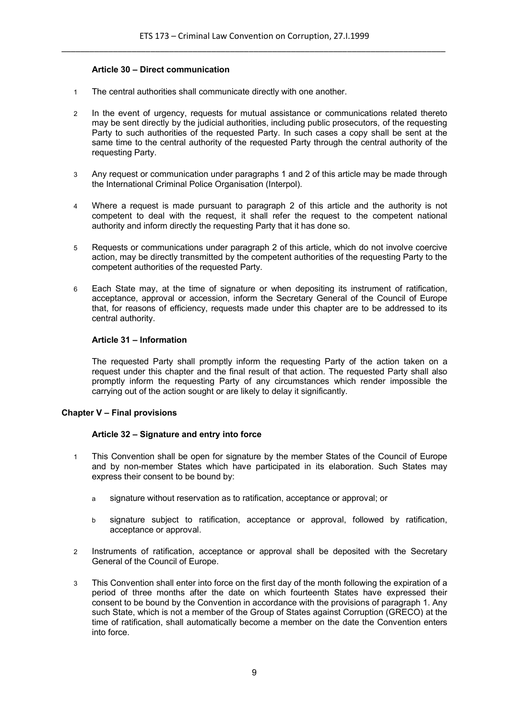# **Article 30 – Direct communication**

- 1 The central authorities shall communicate directly with one another.
- 2 In the event of urgency, requests for mutual assistance or communications related thereto may be sent directly by the judicial authorities, including public prosecutors, of the requesting Party to such authorities of the requested Party. In such cases a copy shall be sent at the same time to the central authority of the requested Party through the central authority of the requesting Party.
- 3 Any request or communication under paragraphs 1 and 2 of this article may be made through the International Criminal Police Organisation (Interpol).
- 4 Where a request is made pursuant to paragraph 2 of this article and the authority is not competent to deal with the request, it shall refer the request to the competent national authority and inform directly the requesting Party that it has done so.
- 5 Requests or communications under paragraph 2 of this article, which do not involve coercive action, may be directly transmitted by the competent authorities of the requesting Party to the competent authorities of the requested Party.
- 6 Each State may, at the time of signature or when depositing its instrument of ratification, acceptance, approval or accession, inform the Secretary General of the Council of Europe that, for reasons of efficiency, requests made under this chapter are to be addressed to its central authority.

# **Article 31 – Information**

The requested Party shall promptly inform the requesting Party of the action taken on a request under this chapter and the final result of that action. The requested Party shall also promptly inform the requesting Party of any circumstances which render impossible the carrying out of the action sought or are likely to delay it significantly.

# **Chapter V – Final provisions**

#### **Article 32 – Signature and entry into force**

- 1 This Convention shall be open for signature by the member States of the Council of Europe and by non-member States which have participated in its elaboration. Such States may express their consent to be bound by:
	- a signature without reservation as to ratification, acceptance or approval; or
	- b signature subject to ratification, acceptance or approval, followed by ratification, acceptance or approval.
- 2 Instruments of ratification, acceptance or approval shall be deposited with the Secretary General of the Council of Europe.
- 3 This Convention shall enter into force on the first day of the month following the expiration of a period of three months after the date on which fourteenth States have expressed their consent to be bound by the Convention in accordance with the provisions of paragraph 1. Any such State, which is not a member of the Group of States against Corruption (GRECO) at the time of ratification, shall automatically become a member on the date the Convention enters into force.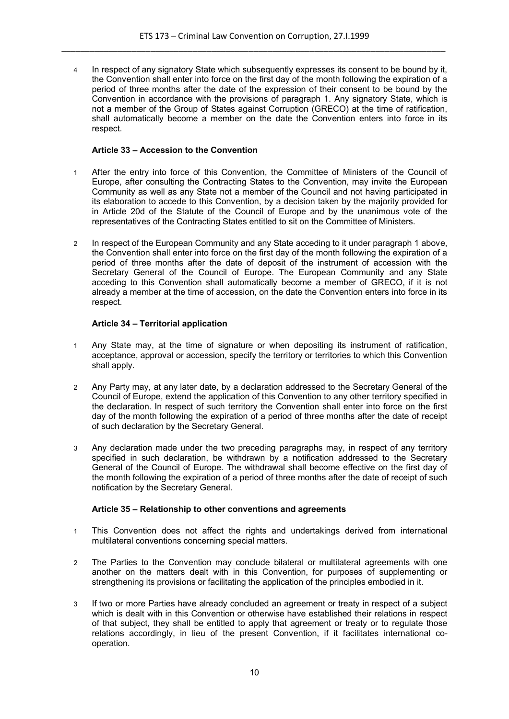4 In respect of any signatory State which subsequently expresses its consent to be bound by it, the Convention shall enter into force on the first day of the month following the expiration of a period of three months after the date of the expression of their consent to be bound by the Convention in accordance with the provisions of paragraph 1. Any signatory State, which is not a member of the Group of States against Corruption (GRECO) at the time of ratification, shall automatically become a member on the date the Convention enters into force in its respect.

### **Article 33 – Accession to the Convention**

- 1 After the entry into force of this Convention, the Committee of Ministers of the Council of Europe, after consulting the Contracting States to the Convention, may invite the European Community as well as any State not a member of the Council and not having participated in its elaboration to accede to this Convention, by a decision taken by the majority provided for in Article 20d of the Statute of the Council of Europe and by the unanimous vote of the representatives of the Contracting States entitled to sit on the Committee of Ministers.
- 2 In respect of the European Community and any State acceding to it under paragraph 1 above, the Convention shall enter into force on the first day of the month following the expiration of a period of three months after the date of deposit of the instrument of accession with the Secretary General of the Council of Europe. The European Community and any State acceding to this Convention shall automatically become a member of GRECO, if it is not already a member at the time of accession, on the date the Convention enters into force in its respect.

#### **Article 34 – Territorial application**

- 1 Any State may, at the time of signature or when depositing its instrument of ratification, acceptance, approval or accession, specify the territory or territories to which this Convention shall apply.
- 2 Any Party may, at any later date, by a declaration addressed to the Secretary General of the Council of Europe, extend the application of this Convention to any other territory specified in the declaration. In respect of such territory the Convention shall enter into force on the first day of the month following the expiration of a period of three months after the date of receipt of such declaration by the Secretary General.
- 3 Any declaration made under the two preceding paragraphs may, in respect of any territory specified in such declaration, be withdrawn by a notification addressed to the Secretary General of the Council of Europe. The withdrawal shall become effective on the first day of the month following the expiration of a period of three months after the date of receipt of such notification by the Secretary General.

# **Article 35 – Relationship to other conventions and agreements**

- 1 This Convention does not affect the rights and undertakings derived from international multilateral conventions concerning special matters.
- 2 The Parties to the Convention may conclude bilateral or multilateral agreements with one another on the matters dealt with in this Convention, for purposes of supplementing or strengthening its provisions or facilitating the application of the principles embodied in it.
- 3 If two or more Parties have already concluded an agreement or treaty in respect of a subject which is dealt with in this Convention or otherwise have established their relations in respect of that subject, they shall be entitled to apply that agreement or treaty or to regulate those relations accordingly, in lieu of the present Convention, if it facilitates international cooperation.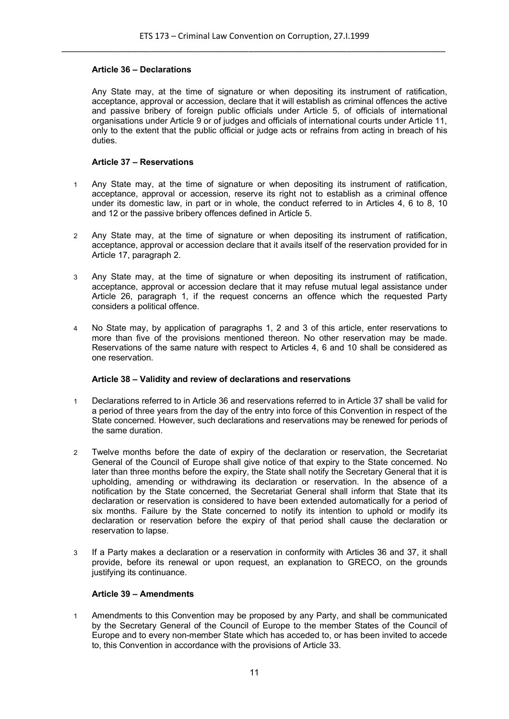# **Article 36 – Declarations**

Any State may, at the time of signature or when depositing its instrument of ratification, acceptance, approval or accession, declare that it will establish as criminal offences the active and passive bribery of foreign public officials under Article 5, of officials of international organisations under Article 9 or of judges and officials of international courts under Article 11, only to the extent that the public official or judge acts or refrains from acting in breach of his duties.

#### **Article 37 – Reservations**

- 1 Any State may, at the time of signature or when depositing its instrument of ratification, acceptance, approval or accession, reserve its right not to establish as a criminal offence under its domestic law, in part or in whole, the conduct referred to in Articles 4, 6 to 8, 10 and 12 or the passive bribery offences defined in Article 5.
- 2 Any State may, at the time of signature or when depositing its instrument of ratification, acceptance, approval or accession declare that it avails itself of the reservation provided for in Article 17, paragraph 2.
- 3 Any State may, at the time of signature or when depositing its instrument of ratification, acceptance, approval or accession declare that it may refuse mutual legal assistance under Article 26, paragraph 1, if the request concerns an offence which the requested Party considers a political offence.
- 4 No State may, by application of paragraphs 1, 2 and 3 of this article, enter reservations to more than five of the provisions mentioned thereon. No other reservation may be made. Reservations of the same nature with respect to Articles 4, 6 and 10 shall be considered as one reservation.

# **Article 38 – Validity and review of declarations and reservations**

- 1 Declarations referred to in Article 36 and reservations referred to in Article 37 shall be valid for a period of three years from the day of the entry into force of this Convention in respect of the State concerned. However, such declarations and reservations may be renewed for periods of the same duration.
- 2 Twelve months before the date of expiry of the declaration or reservation, the Secretariat General of the Council of Europe shall give notice of that expiry to the State concerned. No later than three months before the expiry, the State shall notify the Secretary General that it is upholding, amending or withdrawing its declaration or reservation. In the absence of a notification by the State concerned, the Secretariat General shall inform that State that its declaration or reservation is considered to have been extended automatically for a period of six months. Failure by the State concerned to notify its intention to uphold or modify its declaration or reservation before the expiry of that period shall cause the declaration or reservation to lapse.
- 3 If a Party makes a declaration or a reservation in conformity with Articles 36 and 37, it shall provide, before its renewal or upon request, an explanation to GRECO, on the grounds justifying its continuance.

# **Article 39 – Amendments**

1 Amendments to this Convention may be proposed by any Party, and shall be communicated by the Secretary General of the Council of Europe to the member States of the Council of Europe and to every non-member State which has acceded to, or has been invited to accede to, this Convention in accordance with the provisions of Article 33.